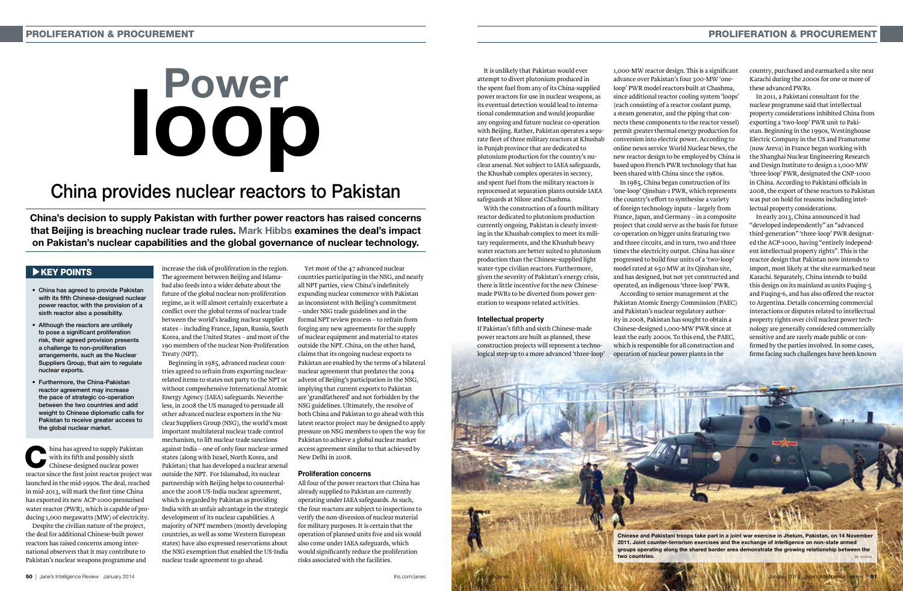hina has agreed to supply Pakistan<br>with its fifth and possibly sixth<br>chinese-designed nuclear power with its fifth and possibly sixth Chinese-designed nuclear power reactor since the first joint reactor project was launched in the mid-1990s. The deal, reached in mid-2013, will mark the first time China has exported its new ACP-1000 pressurised water reactor (PWR), which is capable of producing 1,000 megawatts (MW) of electricity.

Despite the civilian nature of the project, the deal for additional Chinese-built power reactors has raised concerns among international observers that it may contribute to Pakistan's nuclear weapons programme and increase the risk of proliferation in the region.

# $\blacktriangleright$  KEY POINTS

The agreement between Beijing and Islamabad also feeds into a wider debate about the future of the global nuclear non-proliferation regime, as it will almost certainly exacerbate a conflict over the global terms of nuclear trade between the world's leading nuclear supplier states – including France, Japan, Russia, South Korea, and the United States – and most of the 190 members of the nuclear Non-Proliferation Treaty (NPT).

Beginning in 1985, advanced nuclear countries agreed to refrain from exporting nuclearrelated items to states not party to the NPT or without comprehensive International Atomic Energy Agency (IAEA) safeguards. Nevertheless, in 2008 the US managed to persuade all other advanced nuclear exporters in the Nuclear Suppliers Group (NSG), the world's most important multilateral nuclear trade control mechanism, to lift nuclear trade sanctions against India – one of only four nuclear-armed states (along with Israel, North Korea, and Pakistan) that has developed a nuclear arsenal outside the NPT. For Islamabad, its nuclear partnership with Beijing helps to counterbalance the 2008 US-India nuclear agreement, which is regarded by Pakistan as providing India with an unfair advantage in the strategic development of its nuclear capabilities. A majority of NPT members (mostly developing countries, as well as some Western European states) have also expressed reservations about the NSG exemption that enabled the US-India nuclear trade agreement to go ahead.

# Power loover<br>1000

Yet most of the 47 advanced nuclear countries participating in the NSG, and nearly all NPT parties, view China's indefinitely expanding nuclear commerce with Pakistan as inconsistent with Beijing's commitment – under NSG trade guidelines and in the formal NPT review process – to refrain from forging any new agreements for the supply of nuclear equipment and material to states outside the NPT. China, on the other hand, claims that its ongoing nuclear exports to Pakistan are enabled by the terms of a bilateral nuclear agreement that predates the 2004 advent of Beijing's participation in the NSG, implying that current exports to Pakistan are 'grandfathered' and not forbidden by the NSG guidelines. Ultimately, the resolve of both China and Pakistan to go ahead with this latest reactor project may be designed to apply pressure on NSG members to open the way for Pakistan to achieve a global nuclear market access agreement similar to that achieved by New Delhi in 2008.

#### Proliferation concerns

All four of the power reactors that China has already supplied to Pakistan are currently operating under IAEA safeguards. As such, the four reactors are subject to inspections to verify the non-diversion of nuclear material for military purposes. It is certain that the operation of planned units five and six would also come under IAEA safeguards, which would significantly reduce the proliferation risks associated with the facilities.

China's decision to supply Pakistan with further power reactors has raised concerns that Beijing is breaching nuclear trade rules. Mark Hibbs examines the deal's impact on Pakistan's nuclear capabilities and the global governance of nuclear technology.

- • China has agreed to provide Pakistan with its fifth Chinese-designed nuclear power reactor, with the provision of a sixth reactor also a possibility.
- Although the reactors are unlikely to pose a significant proliferation risk, their agreed provision presents a challenge to non-proliferation arrangements, such as the Nuclear Suppliers Group, that aim to regulate nuclear exports.
- • Furthermore, the China-Pakistan reactor agreement may increase the pace of strategic co-operation between the two countries and add weight to Chinese diplomatic calls for Pakistan to receive greater access to the global nuclear market.

# China provides nuclear reactors to Pakistan

It is unlikely that Pakistan would ever attempt to divert plutonium produced in the spent fuel from any of its China-supplied power reactors for use in nuclear weapons, as its eventual detection would lead to international condemnation and would jeopardise any ongoing and future nuclear co-operation with Beijing. Rather, Pakistan operates a separate fleet of three military reactors at Khushab in Punjab province that are dedicated to plutonium production for the country's nuclear arsenal. Not subject to IAEA safeguards, the Khushab complex operates in secrecy, and spent fuel from the military reactors is reprocessed at separation plants outside IAEA safeguards at Nilore and Chashma.

With the construction of a fourth military reactor dedicated to plutonium production currently ongoing, Pakistan is clearly investing in the Khushab complex to meet its military requirements, and the Khushab heavy water reactors are better suited to plutonium production than the Chinese-supplied light water-type civilian reactors. Furthermore, given the severity of Pakistan's energy crisis, there is little incentive for the new Chinesemade PWRs to be diverted from power generation to weapons-related activities.

#### Intellectual property

If Pakistan's fifth and sixth Chinese-made power reactors are built as planned, these construction projects will represent a technological step-up to a more advanced 'three-loop'

1,000-MW reactor design. This is a significant advance over Pakistan's four 300-MW 'oneloop' PWR model reactors built at Chashma, since additional reactor cooling system 'loops' (each consisting of a reactor coolant pump, a steam generator, and the piping that connects these components to the reactor vessel) permit greater thermal energy production for conversion into electric power. According to online news service World Nuclear News, the new reactor design to be employed by China is based upon French PWR technology that has been shared with China since the 1980s. 'one-loop' Qinshan-1 PWR, which represents the country's effort to synthesise a variety of foreign technology inputs – largely from France, Japan, and Germany – in a composite project that could serve as the basis for future co-operation on bigger units featuring two and three circuits, and in turn, two and three times the electricity output. China has since progressed to build four units of a 'two-loop' model rated at 650 MW at its Qinshan site, and has designed, but not yet constructed and operated, an indigenous 'three-loop' PWR. Pakistan Atomic Energy Commission (PAEC) and Pakistan's nuclear regulatory authority in 2008, Pakistan has sought to obtain a Chinese-designed 1,000-MW PWR since at least the early 2000s. To this end, the PAEC, which is responsible for all construction and operation of nuclear power plants in the

In 1985, China began construction of its According to senior management at the

country, purchased and earmarked a site near Karachi during the 2000s for one or more of these advanced PWRs.

In 2011, a Pakistani consultant for the nuclear programme said that intellectual property considerations inhibited China from exporting a 'two-loop' PWR unit to Pakistan. Beginning in the 1990s, Westinghouse Electric Company in the US and Framatome (now Areva) in France began working with the Shanghai Nuclear Engineering Research and Design Institute to design a 1,000-MW 'three-loop' PWR, designated the CNP-1000 in China. According to Pakistani officials in 2008, the export of these reactors to Pakistan was put on hold for reasons including intellectual property considerations.

In early 2013, China announced it had "developed independently" an "advanced third-generation" 'three-loop' PWR designated the ACP-1000, having "entirely independent intellectual property rights". This is the reactor design that Pakistan now intends to import, most likely at the site earmarked near Karachi. Separately, China intends to build this design on its mainland as units Fuqing-5 and Fuqing-6, and has also offered the reactor to Argentina. Details concerning commercial interactions or disputes related to intellectual property rights over civil nuclear power technology are generally considered commercially sensitive and are rarely made public or confirmed by the parties involved. In some cases, firms facing such challenges have been known

Chinese and Pakistani troops take part in a joint war exercise in Jhelum, Pakistan, on 14 November 2011. Joint counter-terrorism exercises and the exchange of intelligence on non-state armed groups operating along the shared border area demonstrate the growing relationship between the